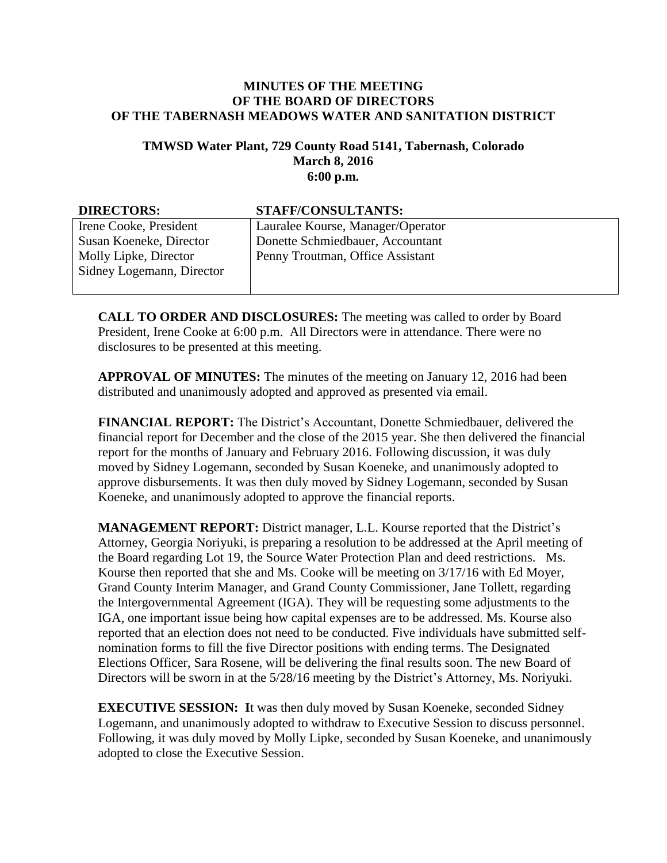## **MINUTES OF THE MEETING OF THE BOARD OF DIRECTORS OF THE TABERNASH MEADOWS WATER AND SANITATION DISTRICT**

## **TMWSD Water Plant, 729 County Road 5141, Tabernash, Colorado March 8, 2016 6:00 p.m.**

| <b>DIRECTORS:</b>         | <b>STAFF/CONSULTANTS:</b>         |
|---------------------------|-----------------------------------|
| Irene Cooke, President    | Lauralee Kourse, Manager/Operator |
| Susan Koeneke, Director   | Donette Schmiedbauer, Accountant  |
| Molly Lipke, Director     | Penny Troutman, Office Assistant  |
| Sidney Logemann, Director |                                   |
|                           |                                   |

**CALL TO ORDER AND DISCLOSURES:** The meeting was called to order by Board President, Irene Cooke at 6:00 p.m. All Directors were in attendance. There were no disclosures to be presented at this meeting.

**APPROVAL OF MINUTES:** The minutes of the meeting on January 12, 2016 had been distributed and unanimously adopted and approved as presented via email.

**FINANCIAL REPORT:** The District's Accountant, Donette Schmiedbauer, delivered the financial report for December and the close of the 2015 year. She then delivered the financial report for the months of January and February 2016. Following discussion, it was duly moved by Sidney Logemann, seconded by Susan Koeneke, and unanimously adopted to approve disbursements. It was then duly moved by Sidney Logemann, seconded by Susan Koeneke, and unanimously adopted to approve the financial reports.

**MANAGEMENT REPORT:** District manager, L.L. Kourse reported that the District's Attorney, Georgia Noriyuki, is preparing a resolution to be addressed at the April meeting of the Board regarding Lot 19, the Source Water Protection Plan and deed restrictions. Ms. Kourse then reported that she and Ms. Cooke will be meeting on 3/17/16 with Ed Moyer, Grand County Interim Manager, and Grand County Commissioner, Jane Tollett, regarding the Intergovernmental Agreement (IGA). They will be requesting some adjustments to the IGA, one important issue being how capital expenses are to be addressed. Ms. Kourse also reported that an election does not need to be conducted. Five individuals have submitted selfnomination forms to fill the five Director positions with ending terms. The Designated Elections Officer, Sara Rosene, will be delivering the final results soon. The new Board of Directors will be sworn in at the 5/28/16 meeting by the District's Attorney, Ms. Noriyuki.

**EXECUTIVE SESSION:** It was then duly moved by Susan Koeneke, seconded Sidney Logemann, and unanimously adopted to withdraw to Executive Session to discuss personnel. Following, it was duly moved by Molly Lipke, seconded by Susan Koeneke, and unanimously adopted to close the Executive Session.